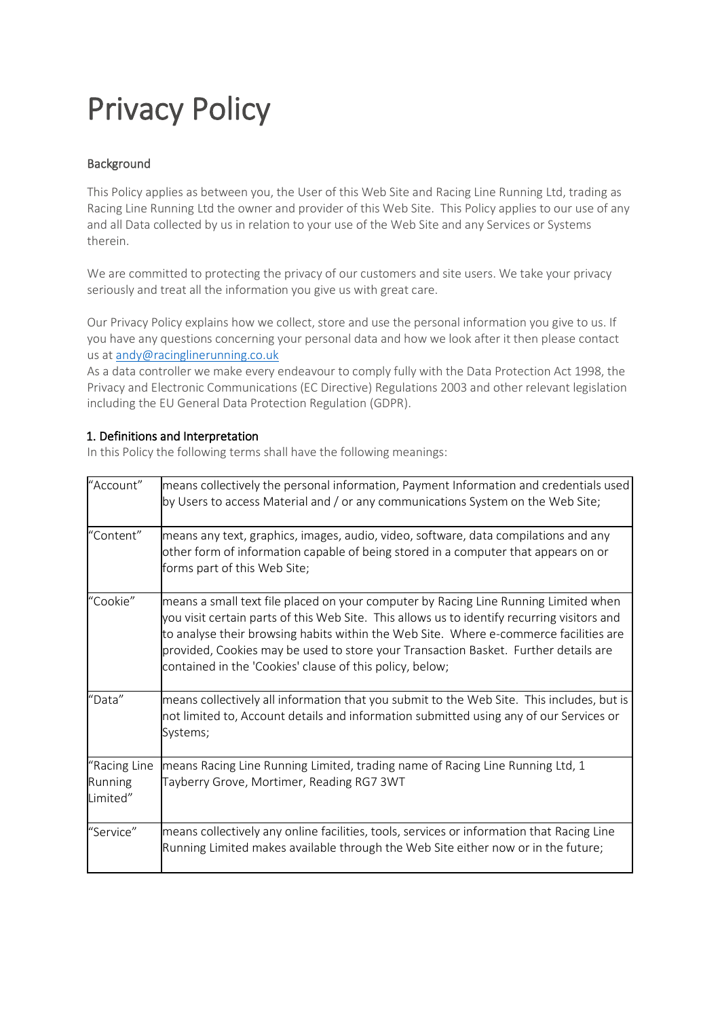# Privacy Policy

## **Background**

This Policy applies as between you, the User of this Web Site and Racing Line Running Ltd, trading as Racing Line Running Ltd the owner and provider of this Web Site. This Policy applies to our use of any and all Data collected by us in relation to your use of the Web Site and any Services or Systems therein.

We are committed to protecting the privacy of our customers and site users. We take your privacy seriously and treat all the information you give us with great care.

Our Privacy Policy explains how we collect, store and use the personal information you give to us. If you have any questions concerning your personal data and how we look after it then please contact us at [andy@racinglinerunning.co.uk](mailto:info@mysportingtimes.com)

As a data controller we make every endeavour to comply fully with the Data Protection Act 1998, the Privacy and Electronic Communications (EC Directive) Regulations 2003 and other relevant legislation including the EU General Data Protection Regulation (GDPR).

## 1. Definitions and Interpretation

In this Policy the following terms shall have the following meanings:

| "Account"                           | means collectively the personal information, Payment Information and credentials used<br>by Users to access Material and / or any communications System on the Web Site;                                                                                                                                                                                                                                                       |
|-------------------------------------|--------------------------------------------------------------------------------------------------------------------------------------------------------------------------------------------------------------------------------------------------------------------------------------------------------------------------------------------------------------------------------------------------------------------------------|
| "Content"                           | means any text, graphics, images, audio, video, software, data compilations and any<br>other form of information capable of being stored in a computer that appears on or<br>forms part of this Web Site;                                                                                                                                                                                                                      |
| "Cookie"                            | means a small text file placed on your computer by Racing Line Running Limited when<br>you visit certain parts of this Web Site. This allows us to identify recurring visitors and<br>to analyse their browsing habits within the Web Site. Where e-commerce facilities are<br>provided, Cookies may be used to store your Transaction Basket. Further details are<br>contained in the 'Cookies' clause of this policy, below; |
| "Data"                              | means collectively all information that you submit to the Web Site. This includes, but is<br>not limited to, Account details and information submitted using any of our Services or<br>Systems;                                                                                                                                                                                                                                |
| "Racing Line<br>Running<br>Limited" | means Racing Line Running Limited, trading name of Racing Line Running Ltd, 1<br>Tayberry Grove, Mortimer, Reading RG7 3WT                                                                                                                                                                                                                                                                                                     |
| "Service"                           | means collectively any online facilities, tools, services or information that Racing Line<br>Running Limited makes available through the Web Site either now or in the future;                                                                                                                                                                                                                                                 |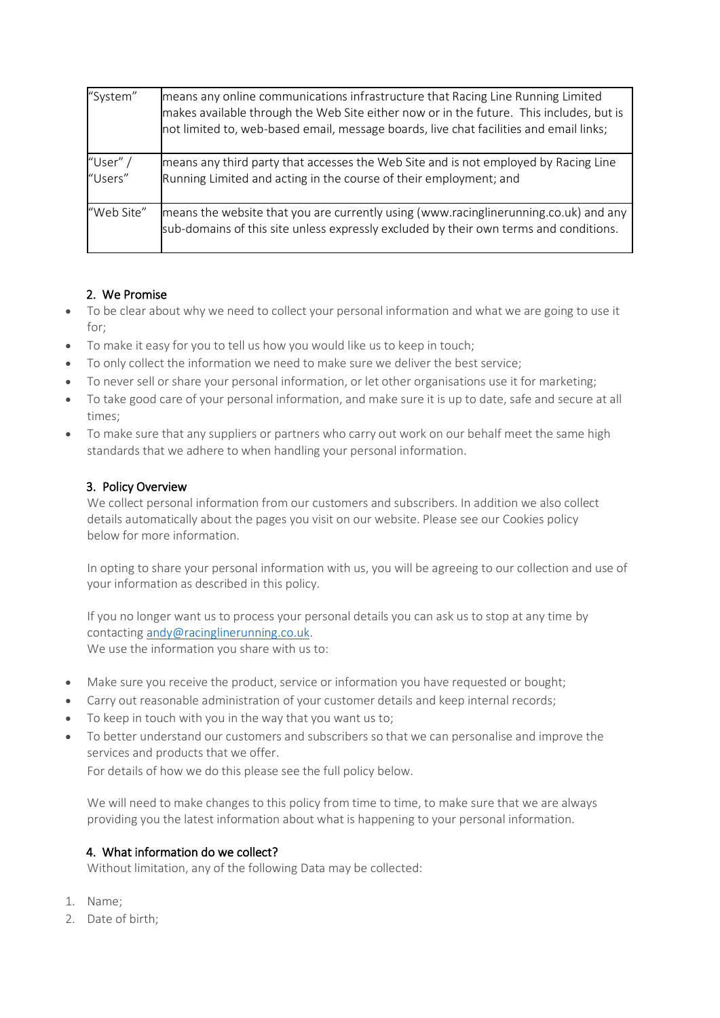| "System"            | means any online communications infrastructure that Racing Line Running Limited<br>makes available through the Web Site either now or in the future. This includes, but is<br>not limited to, web-based email, message boards, live chat facilities and email links; |
|---------------------|----------------------------------------------------------------------------------------------------------------------------------------------------------------------------------------------------------------------------------------------------------------------|
| "User" /<br>"Users" | means any third party that accesses the Web Site and is not employed by Racing Line<br>Running Limited and acting in the course of their employment; and                                                                                                             |
| "Web Site"          | means the website that you are currently using (www.racinglinerunning.co.uk) and any<br>sub-domains of this site unless expressly excluded by their own terms and conditions.                                                                                        |

## 2. We Promise

- To be clear about why we need to collect your personal information and what we are going to use it for;
- To make it easy for you to tell us how you would like us to keep in touch;
- To only collect the information we need to make sure we deliver the best service;
- To never sell or share your personal information, or let other organisations use it for marketing;
- To take good care of your personal information, and make sure it is up to date, safe and secure at all times;
- To make sure that any suppliers or partners who carry out work on our behalf meet the same high standards that we adhere to when handling your personal information.

## 3. Policy Overview

We collect personal information from our customers and subscribers. In addition we also collect details automatically about the pages you visit on our website. Please see our Cookies policy below for more information.

In opting to share your personal information with us, you will be agreeing to our collection and use of your information as described in this policy.

If you no longer want us to process your personal details you can ask us to stop at any time by contacting [andy@racinglinerunning.co.uk.](mailto:info@mysportingtimes.com) We use the information you share with us to:

- Make sure you receive the product, service or information you have requested or bought;
- Carry out reasonable administration of your customer details and keep internal records;
- To keep in touch with you in the way that you want us to;
- To better understand our customers and subscribers so that we can personalise and improve the services and products that we offer.

For details of how we do this please see the full policy below.

We will need to make changes to this policy from time to time, to make sure that we are always providing you the latest information about what is happening to your personal information.

## 4. What information do we collect?

Without limitation, any of the following Data may be collected:

- 1. Name;
- 2. Date of birth;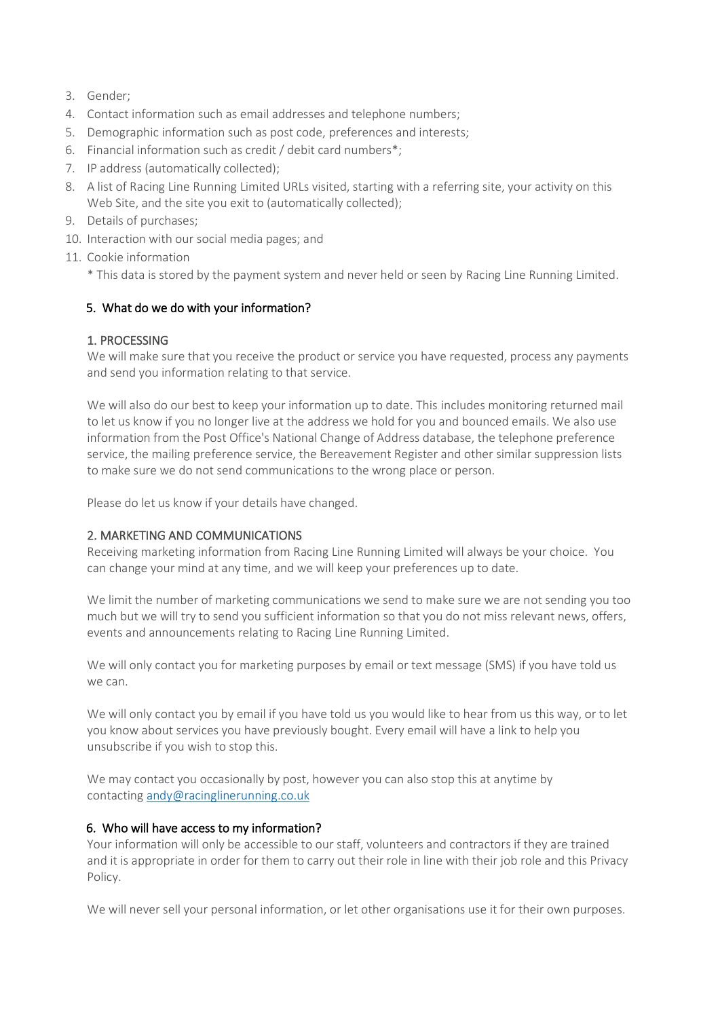- 3. Gender;
- 4. Contact information such as email addresses and telephone numbers;
- 5. Demographic information such as post code, preferences and interests;
- 6. Financial information such as credit / debit card numbers\*;
- 7. IP address (automatically collected);
- 8. A list of Racing Line Running Limited URLs visited, starting with a referring site, your activity on this Web Site, and the site you exit to (automatically collected);
- 9. Details of purchases;
- 10. Interaction with our social media pages; and
- 11. Cookie information

\* This data is stored by the payment system and never held or seen by Racing Line Running Limited.

#### 5. What do we do with your information?

#### 1. PROCESSING

We will make sure that you receive the product or service you have requested, process any payments and send you information relating to that service.

We will also do our best to keep your information up to date. This includes monitoring returned mail to let us know if you no longer live at the address we hold for you and bounced emails. We also use information from the Post Office's National Change of Address database, the telephone preference service, the mailing preference service, the Bereavement Register and other similar suppression lists to make sure we do not send communications to the wrong place or person.

Please do let us know if your details have changed.

#### 2. MARKETING AND COMMUNICATIONS

Receiving marketing information from Racing Line Running Limited will always be your choice. You can change your mind at any time, and we will keep your preferences up to date.

We limit the number of marketing communications we send to make sure we are not sending you too much but we will try to send you sufficient information so that you do not miss relevant news, offers, events and announcements relating to Racing Line Running Limited.

We will only contact you for marketing purposes by email or text message (SMS) if you have told us we can.

We will only contact you by email if you have told us you would like to hear from us this way, or to let you know about services you have previously bought. Every email will have a link to help you unsubscribe if you wish to stop this.

We may contact you occasionally by post, however you can also stop this at anytime by contacting [andy@racinglinerunning.co.uk](mailto:info@mysportingtimes.com) 

## 6. Who will have access to my information?

Your information will only be accessible to our staff, volunteers and contractors if they are trained and it is appropriate in order for them to carry out their role in line with their job role and this Privacy Policy.

We will never sell your personal information, or let other organisations use it for their own purposes.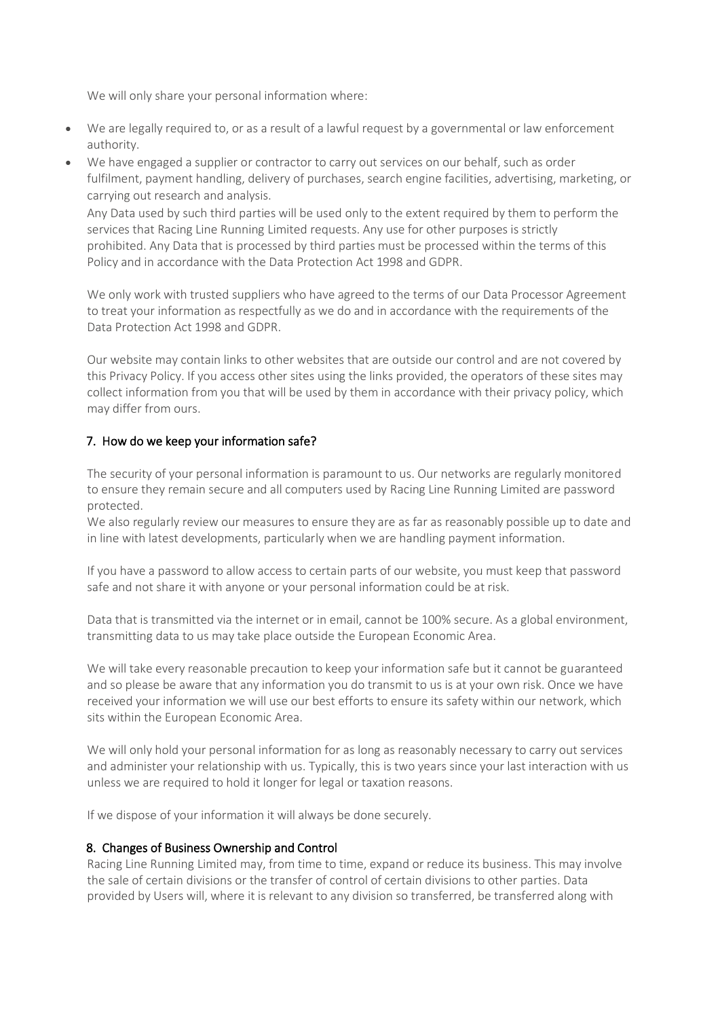We will only share your personal information where:

- We are legally required to, or as a result of a lawful request by a governmental or law enforcement authority.
- We have engaged a supplier or contractor to carry out services on our behalf, such as order fulfilment, payment handling, delivery of purchases, search engine facilities, advertising, marketing, or carrying out research and analysis.

Any Data used by such third parties will be used only to the extent required by them to perform the services that Racing Line Running Limited requests. Any use for other purposes is strictly prohibited. Any Data that is processed by third parties must be processed within the terms of this Policy and in accordance with the Data Protection Act 1998 and GDPR.

We only work with trusted suppliers who have agreed to the terms of our Data Processor Agreement to treat your information as respectfully as we do and in accordance with the requirements of the Data Protection Act 1998 and GDPR.

Our website may contain links to other websites that are outside our control and are not covered by this Privacy Policy. If you access other sites using the links provided, the operators of these sites may collect information from you that will be used by them in accordance with their privacy policy, which may differ from ours.

## 7. How do we keep your information safe?

The security of your personal information is paramount to us. Our networks are regularly monitored to ensure they remain secure and all computers used by Racing Line Running Limited are password protected.

We also regularly review our measures to ensure they are as far as reasonably possible up to date and in line with latest developments, particularly when we are handling payment information.

If you have a password to allow access to certain parts of our website, you must keep that password safe and not share it with anyone or your personal information could be at risk.

Data that is transmitted via the internet or in email, cannot be 100% secure. As a global environment, transmitting data to us may take place outside the European Economic Area.

We will take every reasonable precaution to keep your information safe but it cannot be guaranteed and so please be aware that any information you do transmit to us is at your own risk. Once we have received your information we will use our best efforts to ensure its safety within our network, which sits within the European Economic Area.

We will only hold your personal information for as long as reasonably necessary to carry out services and administer your relationship with us. Typically, this is two years since your last interaction with us unless we are required to hold it longer for legal or taxation reasons.

If we dispose of your information it will always be done securely.

## 8. Changes of Business Ownership and Control

Racing Line Running Limited may, from time to time, expand or reduce its business. This may involve the sale of certain divisions or the transfer of control of certain divisions to other parties. Data provided by Users will, where it is relevant to any division so transferred, be transferred along with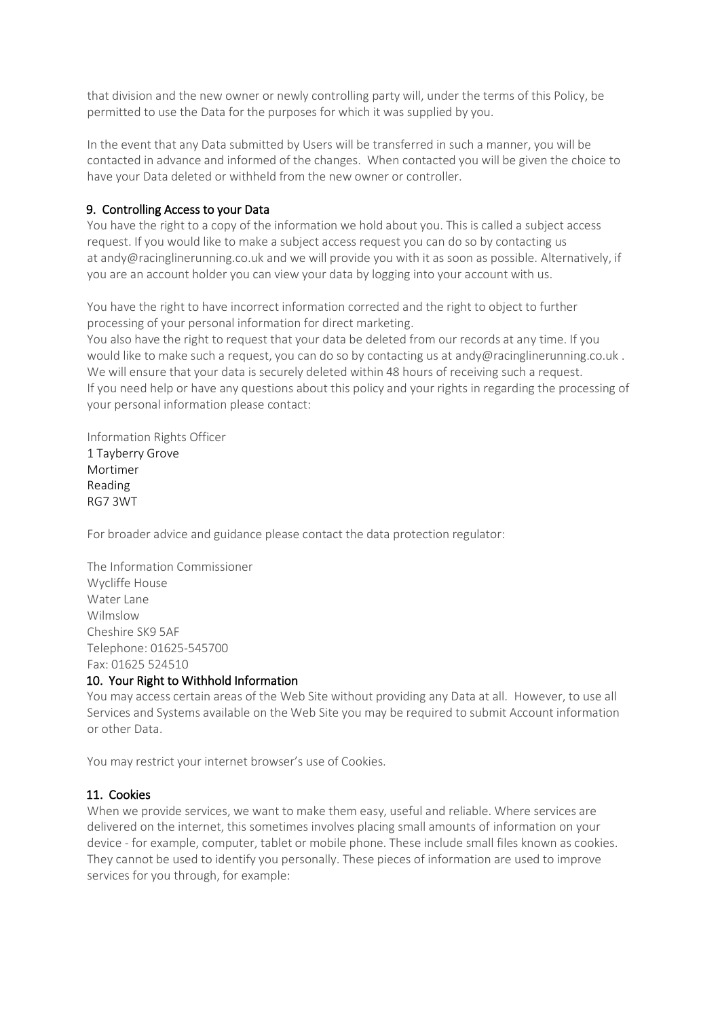that division and the new owner or newly controlling party will, under the terms of this Policy, be permitted to use the Data for the purposes for which it was supplied by you.

In the event that any Data submitted by Users will be transferred in such a manner, you will be contacted in advance and informed of the changes. When contacted you will be given the choice to have your Data deleted or withheld from the new owner or controller.

## 9. Controlling Access to your Data

You have the right to a copy of the information we hold about you. This is called a subject access request. If you would like to make a subject access request you can do so by contacting us at andy@racinglinerunning.co.uk and we will provide you with it as soon as possible. Alternatively, if you are an account holder you can view your data by logging into your account with us.

You have the right to have incorrect information corrected and the right to object to further processing of your personal information for direct marketing.

You also have the right to request that your data be deleted from our records at any time. If you would like to make such a request, you can do so by contacting us at andy @racinglinerunning.co.uk. We will ensure that your data is securely deleted within 48 hours of receiving such a request. If you need help or have any questions about this policy and your rights in regarding the processing of your personal information please contact:

Information Rights Officer 1 Tayberry Grove Mortimer Reading RG7 3WT

For broader advice and guidance please contact the data protection regulator:

The Information Commissioner Wycliffe House Water Lane Wilmslow Cheshire SK9 5AF Telephone: 01625-545700 Fax: 01625 524510

## 10. Your Right to Withhold Information

You may access certain areas of the Web Site without providing any Data at all. However, to use all Services and Systems available on the Web Site you may be required to submit Account information or other Data.

You may restrict your internet browser's use of Cookies.

## 11. Cookies

When we provide services, we want to make them easy, useful and reliable. Where services are delivered on the internet, this sometimes involves placing small amounts of information on your device - for example, computer, tablet or mobile phone. These include small files known as cookies. They cannot be used to identify you personally. These pieces of information are used to improve services for you through, for example: